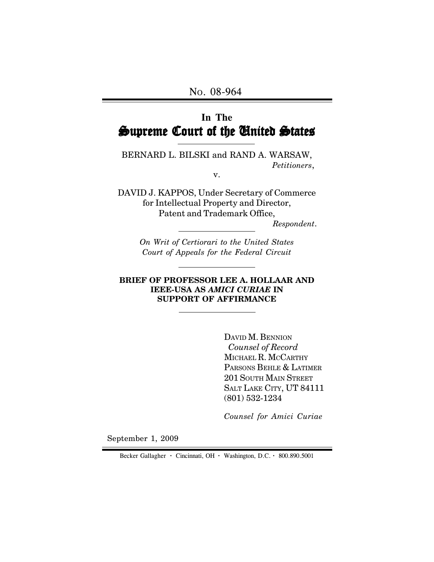# **In The** Supreme Court of the United States

BERNARD L. BILSKI and RAND A. WARSAW, *Petitioners*,

v.

DAVID J. KAPPOS, Under Secretary of Commerce for Intellectual Property and Director, Patent and Trademark Office,

 *Respondent*.

*On Writ of Certiorari to the United States Court of Appeals for the Federal Circuit*

#### **BRIEF OF PROFESSOR LEE A. HOLLAAR AND IEEE-USA AS** *AMICI CURIAE* **IN SUPPORT OF AFFIRMANCE**

DAVID M. BENNION  *Counsel of Record* MICHAEL R. MCCARTHY PARSONS BEHLE & LATIMER 201 SOUTH MAIN STREET SALT LAKE CITY, UT 84111 (801) 532-1234

*Counsel for Amici Curiae*

September 1, 2009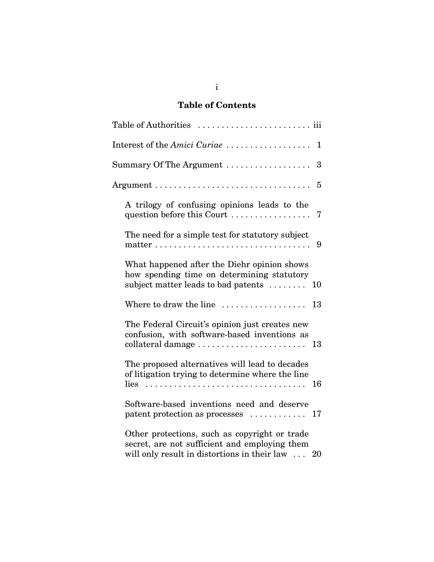# **Table of Contents**

| Interest of the Amici Curiae $\dots\dots\dots\dots\dots\dots$<br>$\mathbf 1$                                                                                                              |  |
|-------------------------------------------------------------------------------------------------------------------------------------------------------------------------------------------|--|
| Summary Of The Argument $\dots\dots\dots\dots\dots\dots$<br>3                                                                                                                             |  |
| 5                                                                                                                                                                                         |  |
| A trilogy of confusing opinions leads to the<br>question before this Court<br>7                                                                                                           |  |
| The need for a simple test for statutory subject<br>9                                                                                                                                     |  |
| What happened after the Diehr opinion shows<br>how spending time on determining statutory<br>subject matter leads to bad patents $\dots\dots$<br>10                                       |  |
| Where to draw the line<br>13                                                                                                                                                              |  |
| The Federal Circuit's opinion just creates new<br>confusion, with software-based inventions as<br>13                                                                                      |  |
| The proposed alternatives will lead to decades<br>of litigation trying to determine where the line<br>$lies \dots \dots \dots \dots \dots \dots \dots \dots \dots \dots \dots \dots \ 16$ |  |
| Software-based inventions need and deserve<br>$\mathbf{pattern}$ protection as processes $\ldots \ldots \ldots$<br>17                                                                     |  |
| Other protections, such as copyright or trade<br>secret, are not sufficient and employing them<br>will only result in distortions in their law $\dots$<br>20                              |  |

i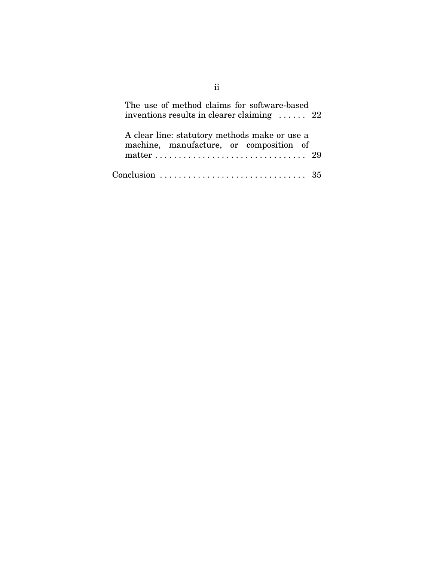| The use of method claims for software-based<br>inventions results in clearer claiming $\ldots$ 22 |
|---------------------------------------------------------------------------------------------------|
| A clear line: statutory methods make or use a<br>machine, manufacture, or composition of          |
|                                                                                                   |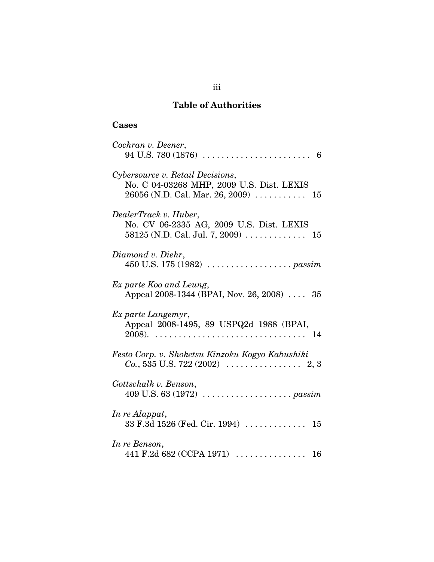# **Table of Authorities**

# **Cases**

| Cochran v. Deener,                                                                                                                           |
|----------------------------------------------------------------------------------------------------------------------------------------------|
| Cybersource v. Retail Decisions,<br>No. C 04-03268 MHP, 2009 U.S. Dist. LEXIS<br>$26056$ (N.D. Cal. Mar. 26, 2009) $\ldots \ldots \ldots$ 15 |
| DealerTrack v. Huber,<br>No. CV 06-2335 AG, 2009 U.S. Dist. LEXIS                                                                            |
| Diamond v. Diehr,                                                                                                                            |
| Ex parte Koo and Leung,<br>Appeal 2008-1344 (BPAI, Nov. 26, 2008)  35                                                                        |
| Ex parte Langemyr,<br>Appeal 2008-1495, 89 USPQ2d 1988 (BPAI,                                                                                |
| Festo Corp. v. Shoketsu Kinzoku Kogyo Kabushiki                                                                                              |
| Gottschalk v. Benson,                                                                                                                        |
| In re Alappat,<br>33 F.3d 1526 (Fed. Cir. 1994)  15                                                                                          |
| In re Benson,<br>441 F.2d 682 (CCPA 1971)<br>16                                                                                              |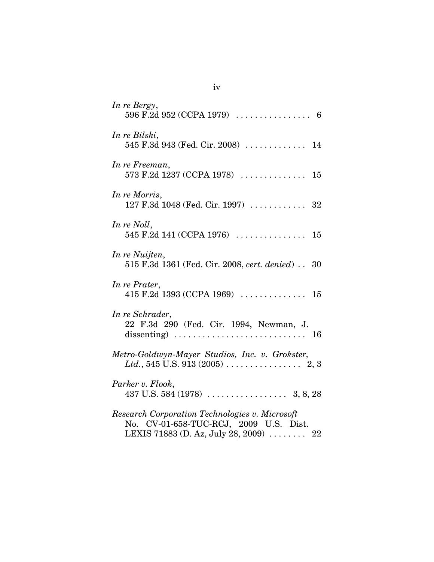| In re Bergy,                                                                                                                       |
|------------------------------------------------------------------------------------------------------------------------------------|
| In re Bilski,<br>545 F.3d 943 (Fed. Cir. 2008)  14                                                                                 |
| In re Freeman,                                                                                                                     |
| In re Morris,<br>127 F.3d 1048 (Fed. Cir. 1997)  32                                                                                |
| In re Noll,                                                                                                                        |
| In re Nuijten,<br>515 F.3d 1361 (Fed. Cir. 2008, cert. denied) 30                                                                  |
| In re Prater,                                                                                                                      |
| In re Schrader,<br>22 F.3d 290 (Fed. Cir. 1994, Newman, J.                                                                         |
| Metro-Goldwyn-Mayer Studios, Inc. v. Grokster,                                                                                     |
| Parker v. Flook,                                                                                                                   |
| Research Corporation Technologies v. Microsoft<br>No. CV-01-658-TUC-RCJ, 2009 U.S. Dist.<br>LEXIS 71883 (D. Az, July 28, 2009)  22 |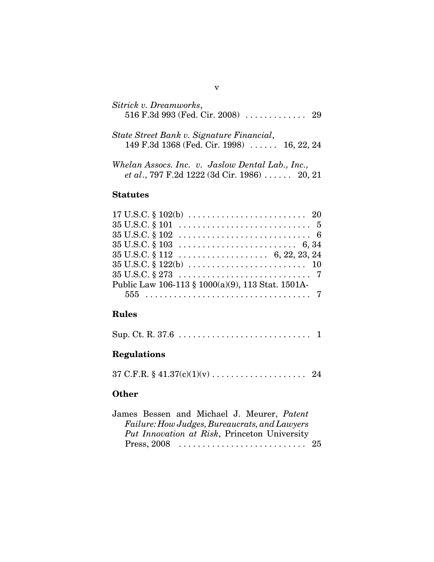| Sitrick v. Dreamworks,<br>516 F.3d 993 (Fed. Cir. 2008)  29                                     |  |
|-------------------------------------------------------------------------------------------------|--|
| State Street Bank v. Signature Financial,<br>149 F.3d 1368 (Fed. Cir. 1998) $\ldots$ 16, 22, 24 |  |

*Whelan Assocs. Inc. v. Jaslow Dental Lab., Inc., et al*., 797 F.2d 1222 (3d Cir. 1986) . . . . . . 20, 21

# **Statutes**

| $35 \text{ U.S.C.} \$ $101 \ldots \ldots \ldots \ldots \ldots \ldots \ldots \ldots \quad 5$<br>$35 \text{ U.S.C.} \$ $102 \ldots \ldots \ldots \ldots \ldots \ldots \ldots \ldots \ldots \quad 6$<br>$35 \text{ U.S.C.} \$ $103 \ldots \ldots \ldots \ldots \ldots \ldots \ldots \ldots \quad 6,34$ | $17 \text{ U.S.C.} \$ $102(b) \ldots \ldots \ldots \ldots \ldots \ldots \ldots \ldots \quad 20$ |
|-----------------------------------------------------------------------------------------------------------------------------------------------------------------------------------------------------------------------------------------------------------------------------------------------------|-------------------------------------------------------------------------------------------------|
|                                                                                                                                                                                                                                                                                                     |                                                                                                 |
|                                                                                                                                                                                                                                                                                                     |                                                                                                 |
|                                                                                                                                                                                                                                                                                                     |                                                                                                 |
|                                                                                                                                                                                                                                                                                                     |                                                                                                 |
| $35 \text{ U.S.C.} \$ $122(b) \ldots \ldots \ldots \ldots \ldots \ldots \ldots \ldots \ldots 10$                                                                                                                                                                                                    |                                                                                                 |
|                                                                                                                                                                                                                                                                                                     |                                                                                                 |
| Public Law 106-113 § 1000(a)(9), 113 Stat. 1501A-                                                                                                                                                                                                                                                   |                                                                                                 |
|                                                                                                                                                                                                                                                                                                     |                                                                                                 |

# **Rules**

|--|--|--|

# **Regulations**

 $37 \text{ C.F.R.} \$  $41.37(c)(1)(v) \dots \dots \dots \dots \dots \dots \dots \dots \quad 24$ 

# **Other**

| James Bessen and Michael J. Meurer, Patent    |  |  |  |  |
|-----------------------------------------------|--|--|--|--|
| Failure: How Judges, Bureaucrats, and Lawyers |  |  |  |  |
| Put Innovation at Risk, Princeton University  |  |  |  |  |
|                                               |  |  |  |  |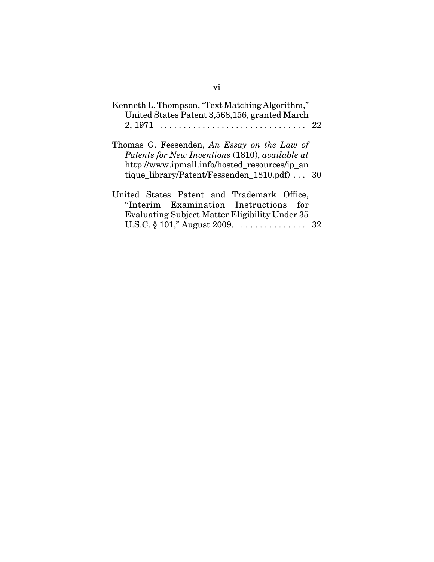| Kenneth L. Thompson, "Text Matching Algorithm,"<br>United States Patent 3,568,156, granted March                                                                                                       |
|--------------------------------------------------------------------------------------------------------------------------------------------------------------------------------------------------------|
| Thomas G. Fessenden, An Essay on the Law of<br>Patents for New Inventions (1810), available at<br>http://www.ipmall.info/hosted_resources/ip_an<br>tique_library/Patent/Fessenden_1810.pdf) $\dots$ 30 |
| United States Patent and Trademark Office,<br>"Interim Examination Instructions<br>for<br>Evaluating Subject Matter Eligibility Under 35<br>U.S.C. $\S 101$ ," August 2009.  32                        |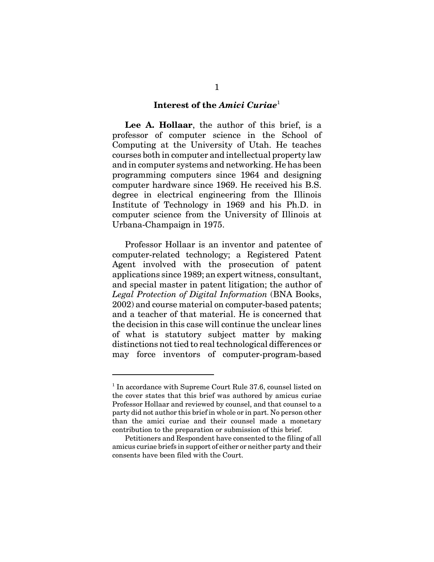#### **Interest of the** *Amici Curiae*<sup>1</sup>

**Lee A. Hollaar**, the author of this brief, is a professor of computer science in the School of Computing at the University of Utah. He teaches courses both in computer and intellectual property law and in computer systems and networking. He has been programming computers since 1964 and designing computer hardware since 1969. He received his B.S. degree in electrical engineering from the Illinois Institute of Technology in 1969 and his Ph.D. in computer science from the University of Illinois at Urbana-Champaign in 1975.

Professor Hollaar is an inventor and patentee of computer-related technology; a Registered Patent Agent involved with the prosecution of patent applications since 1989; an expert witness, consultant, and special master in patent litigation; the author of *Legal Protection of Digital Information* (BNA Books, 2002) and course material on computer-based patents; and a teacher of that material. He is concerned that the decision in this case will continue the unclear lines of what is statutory subject matter by making distinctions not tied to real technological differences or may force inventors of computer-program-based

<sup>&</sup>lt;sup>1</sup> In accordance with Supreme Court Rule 37.6, counsel listed on the cover states that this brief was authored by amicus curiae Professor Hollaar and reviewed by counsel, and that counsel to a party did not author this brief in whole or in part. No person other than the amici curiae and their counsel made a monetary contribution to the preparation or submission of this brief.

Petitioners and Respondent have consented to the filing of all amicus curiae briefs in support of either or neither party and their consents have been filed with the Court.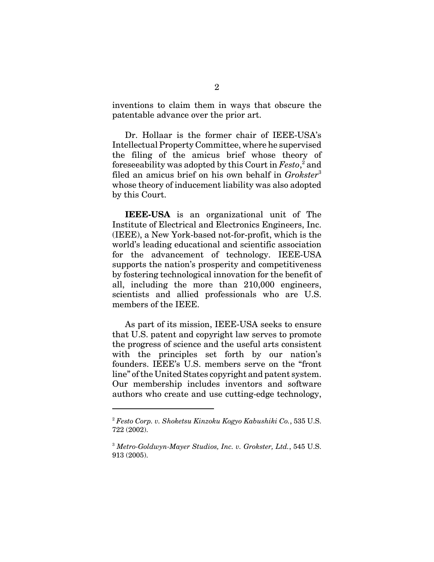inventions to claim them in ways that obscure the patentable advance over the prior art.

Dr. Hollaar is the former chair of IEEE-USA's Intellectual Property Committee, where he supervised the filing of the amicus brief whose theory of foreseeability was adopted by this Court in  $Festo$ ,<sup>2</sup> and filed an amicus brief on his own behalf in *Grokster*<sup>3</sup> whose theory of inducement liability was also adopted by this Court.

**IEEE-USA** is an organizational unit of The Institute of Electrical and Electronics Engineers, Inc. (IEEE), a New York-based not-for-profit, which is the world's leading educational and scientific association for the advancement of technology. IEEE-USA supports the nation's prosperity and competitiveness by fostering technological innovation for the benefit of all, including the more than 210,000 engineers, scientists and allied professionals who are U.S. members of the IEEE.

As part of its mission, IEEE-USA seeks to ensure that U.S. patent and copyright law serves to promote the progress of science and the useful arts consistent with the principles set forth by our nation's founders. IEEE's U.S. members serve on the "front line" of the United States copyright and patent system. Our membership includes inventors and software authors who create and use cutting-edge technology,

<sup>2</sup> *Festo Corp. v. Shoketsu Kinzoku Kogyo Kabushiki Co.*, 535 U.S. 722 (2002).

<sup>3</sup> *Metro-Goldwyn-Mayer Studios, Inc. v. Grokster, Ltd.*, 545 U.S. 913 (2005).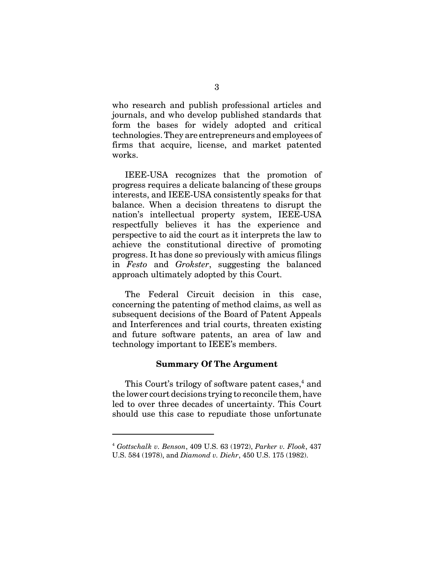who research and publish professional articles and journals, and who develop published standards that form the bases for widely adopted and critical technologies. They are entrepreneurs and employees of firms that acquire, license, and market patented works.

IEEE-USA recognizes that the promotion of progress requires a delicate balancing of these groups interests, and IEEE-USA consistently speaks for that balance. When a decision threatens to disrupt the nation's intellectual property system, IEEE-USA respectfully believes it has the experience and perspective to aid the court as it interprets the law to achieve the constitutional directive of promoting progress. It has done so previously with amicus filings in *Festo* and *Grokster*, suggesting the balanced approach ultimately adopted by this Court.

The Federal Circuit decision in this case, concerning the patenting of method claims, as well as subsequent decisions of the Board of Patent Appeals and Interferences and trial courts, threaten existing and future software patents, an area of law and technology important to IEEE's members.

#### **Summary Of The Argument**

This Court's trilogy of software patent cases, $^4$  and the lower court decisions trying to reconcile them, have led to over three decades of uncertainty. This Court should use this case to repudiate those unfortunate

<sup>4</sup> *Gottschalk v. Benson*, 409 U.S. 63 (1972), *Parker v. Flook*, 437 U.S. 584 (1978), and *Diamond v. Diehr*, 450 U.S. 175 (1982).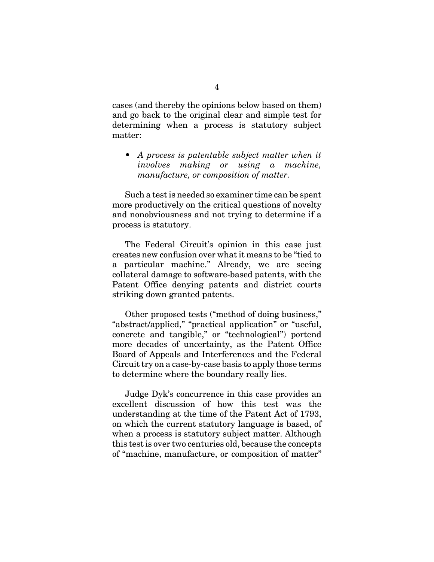cases (and thereby the opinions below based on them) and go back to the original clear and simple test for determining when a process is statutory subject matter:

*• A process is patentable subject matter when it involves making or using a machine, manufacture, or composition of matter.*

Such a test is needed so examiner time can be spent more productively on the critical questions of novelty and nonobviousness and not trying to determine if a process is statutory.

The Federal Circuit's opinion in this case just creates new confusion over what it means to be "tied to a particular machine." Already, we are seeing collateral damage to software-based patents, with the Patent Office denying patents and district courts striking down granted patents.

Other proposed tests ("method of doing business," "abstract/applied," "practical application" or "useful, concrete and tangible," or "technological") portend more decades of uncertainty, as the Patent Office Board of Appeals and Interferences and the Federal Circuit try on a case-by-case basis to apply those terms to determine where the boundary really lies.

Judge Dyk's concurrence in this case provides an excellent discussion of how this test was the understanding at the time of the Patent Act of 1793, on which the current statutory language is based, of when a process is statutory subject matter. Although this test is over two centuries old, because the concepts of "machine, manufacture, or composition of matter"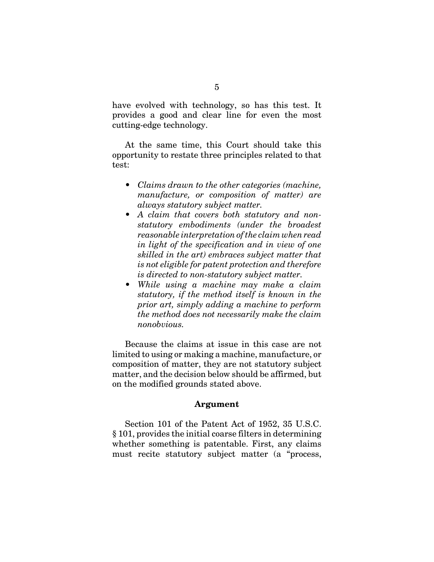have evolved with technology, so has this test. It provides a good and clear line for even the most cutting-edge technology.

At the same time, this Court should take this opportunity to restate three principles related to that test:

- *Claims drawn to the other categories (machine, manufacture, or composition of matter) are always statutory subject matter.*
- *A claim that covers both statutory and nonstatutory embodiments (under the broadest reasonable interpretation of the claim when read in light of the specification and in view of one skilled in the art) embraces subject matter that is not eligible for patent protection and therefore is directed to non-statutory subject matter.*
- *While using a machine may make a claim statutory, if the method itself is known in the prior art, simply adding a machine to perform the method does not necessarily make the claim nonobvious.*

Because the claims at issue in this case are not limited to using or making a machine, manufacture, or composition of matter, they are not statutory subject matter, and the decision below should be affirmed, but on the modified grounds stated above.

#### **Argument**

Section 101 of the Patent Act of 1952, 35 U.S.C. § 101, provides the initial coarse filters in determining whether something is patentable. First, any claims must recite statutory subject matter (a "process,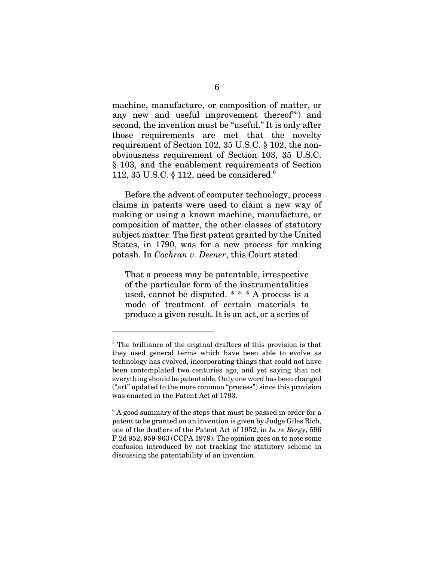machine, manufacture, or composition of matter, or any new and useful improvement thereof<sup>"5</sup>) and second, the invention must be "useful." It is only after those requirements are met that the novelty requirement of Section 102, 35 U.S.C. § 102, the nonobviousness requirement of Section 103, 35 U.S.C. § 103, and the enablement requirements of Section 112, 35 U.S.C.  $\S$  112, need be considered.<sup>6</sup>

Before the advent of computer technology, process claims in patents were used to claim a new way of making or using a known machine, manufacture, or composition of matter, the other classes of statutory subject matter. The first patent granted by the United States, in 1790, was for a new process for making potash. In *Cochran v. Deener*, this Court stated:

That a process may be patentable, irrespective of the particular form of the instrumentalities used, cannot be disputed. \* \* \* A process is a mode of treatment of certain materials to produce a given result. It is an act, or a series of

<sup>&</sup>lt;sup>5</sup> The brilliance of the original drafters of this provision is that they used general terms which have been able to evolve as technology has evolved, incorporating things that could not have been contemplated two centuries ago, and yet saying that not everything should be patentable. Only one word has been changed ("art" updated to the more common "process") since this provision was enacted in the Patent Act of 1793.

 $6$  A good summary of the steps that must be passed in order for a patent to be granted on an invention is given by Judge Giles Rich, one of the drafters of the Patent Act of 1952, in *In re Bergy*, 596 F.2d 952, 959-963 (CCPA 1979). The opinion goes on to note some confusion introduced by not tracking the statutory scheme in discussing the patentability of an invention.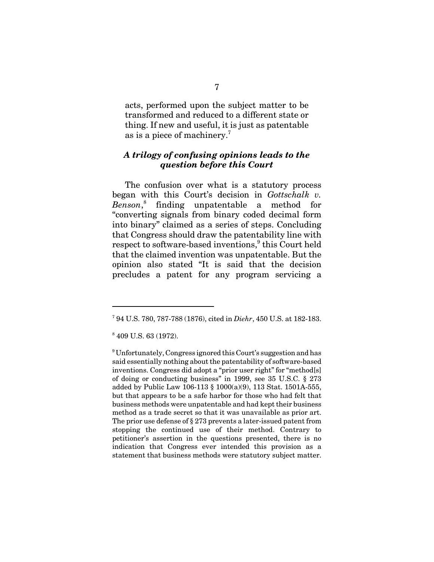acts, performed upon the subject matter to be transformed and reduced to a different state or thing. If new and useful, it is just as patentable as is a piece of machinery.7

#### *A trilogy of confusing opinions leads to the question before this Court*

The confusion over what is a statutory process began with this Court's decision in *Gottschalk v. Benson*, 8 finding unpatentable a method for "converting signals from binary coded decimal form into binary" claimed as a series of steps. Concluding that Congress should draw the patentability line with respect to software-based inventions,<sup>9</sup> this Court held that the claimed invention was unpatentable. But the opinion also stated "It is said that the decision precludes a patent for any program servicing a

<sup>7</sup> 94 U.S. 780, 787-788 (1876), cited in *Diehr*, 450 U.S. at 182-183.

<sup>8</sup> 409 U.S. 63 (1972).

<sup>&</sup>lt;sup>9</sup> Unfortunately, Congress ignored this Court's suggestion and has said essentially nothing about the patentability of software-based inventions. Congress did adopt a "prior user right" for "method[s] of doing or conducting business" in 1999, see 35 U.S.C. § 273 added by Public Law 106-113 § 1000(a)(9), 113 Stat. 1501A-555, but that appears to be a safe harbor for those who had felt that business methods were unpatentable and had kept their business method as a trade secret so that it was unavailable as prior art. The prior use defense of § 273 prevents a later-issued patent from stopping the continued use of their method. Contrary to petitioner's assertion in the questions presented, there is no indication that Congress ever intended this provision as a statement that business methods were statutory subject matter.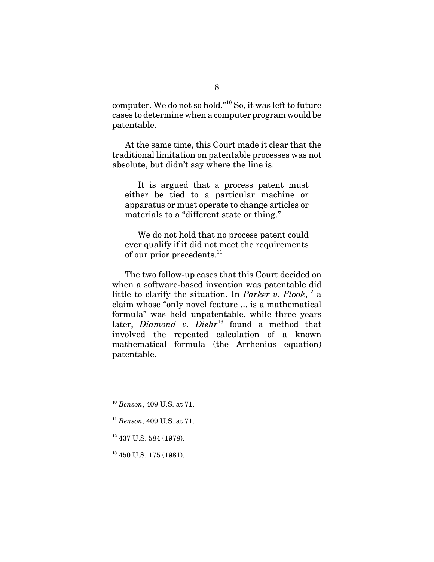computer. We do not so hold."10 So, it was left to future cases to determine when a computer program would be patentable.

At the same time, this Court made it clear that the traditional limitation on patentable processes was not absolute, but didn't say where the line is.

It is argued that a process patent must either be tied to a particular machine or apparatus or must operate to change articles or materials to a "different state or thing."

We do not hold that no process patent could ever qualify if it did not meet the requirements of our prior precedents. $^{11}$ 

The two follow-up cases that this Court decided on when a software-based invention was patentable did little to clarify the situation. In *Parker v. Flook*, 12 a claim whose "only novel feature ... is a mathematical formula" was held unpatentable, while three years later, *Diamond v. Diehr*<sup>13</sup> found a method that involved the repeated calculation of a known mathematical formula (the Arrhenius equation) patentable.

- <sup>11</sup> *Benson*, 409 U.S. at 71.
- <sup>12</sup> 437 U.S. 584 (1978).

<sup>13</sup> 450 U.S. 175 (1981).

<sup>10</sup> *Benson*, 409 U.S. at 71.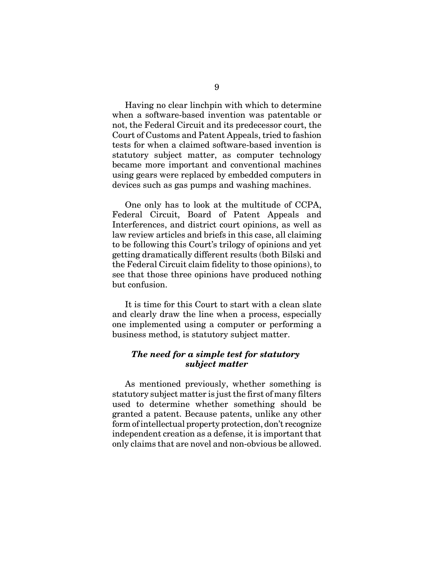Having no clear linchpin with which to determine when a software-based invention was patentable or not, the Federal Circuit and its predecessor court, the Court of Customs and Patent Appeals, tried to fashion tests for when a claimed software-based invention is statutory subject matter, as computer technology became more important and conventional machines using gears were replaced by embedded computers in devices such as gas pumps and washing machines.

One only has to look at the multitude of CCPA, Federal Circuit, Board of Patent Appeals and Interferences, and district court opinions, as well as law review articles and briefs in this case, all claiming to be following this Court's trilogy of opinions and yet getting dramatically different results (both Bilski and the Federal Circuit claim fidelity to those opinions), to see that those three opinions have produced nothing but confusion.

It is time for this Court to start with a clean slate and clearly draw the line when a process, especially one implemented using a computer or performing a business method, is statutory subject matter.

### *The need for a simple test for statutory subject matter*

As mentioned previously, whether something is statutory subject matter is just the first of many filters used to determine whether something should be granted a patent. Because patents, unlike any other form of intellectual property protection, don't recognize independent creation as a defense, it is important that only claims that are novel and non-obvious be allowed.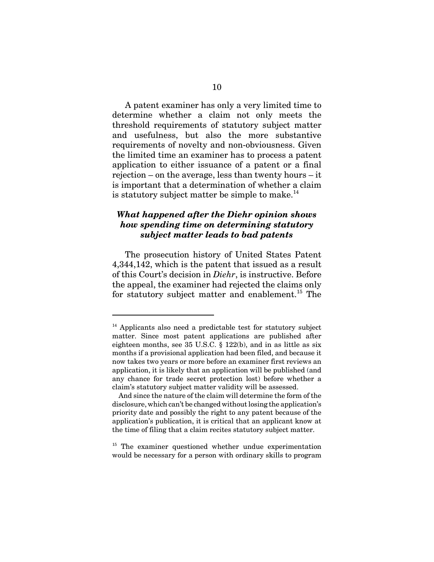A patent examiner has only a very limited time to determine whether a claim not only meets the threshold requirements of statutory subject matter and usefulness, but also the more substantive requirements of novelty and non-obviousness. Given the limited time an examiner has to process a patent application to either issuance of a patent or a final rejection – on the average, less than twenty hours – it is important that a determination of whether a claim is statutory subject matter be simple to make. $^{14}$ 

## *What happened after the Diehr opinion shows how spending time on determining statutory subject matter leads to bad patents*

The prosecution history of United States Patent 4,344,142, which is the patent that issued as a result of this Court's decision in *Diehr*, is instructive. Before the appeal, the examiner had rejected the claims only for statutory subject matter and enablement.15 The

<sup>14</sup> Applicants also need a predictable test for statutory subject matter. Since most patent applications are published after eighteen months, see 35 U.S.C. § 122(b), and in as little as six months if a provisional application had been filed, and because it now takes two years or more before an examiner first reviews an application, it is likely that an application will be published (and any chance for trade secret protection lost) before whether a claim's statutory subject matter validity will be assessed.

And since the nature of the claim will determine the form of the disclosure, which can't be changed without losing the application's priority date and possibly the right to any patent because of the application's publication, it is critical that an applicant know at the time of filing that a claim recites statutory subject matter.

<sup>&</sup>lt;sup>15</sup> The examiner questioned whether undue experimentation would be necessary for a person with ordinary skills to program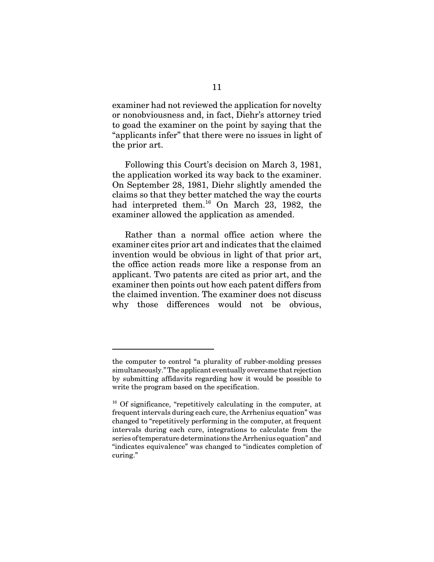examiner had not reviewed the application for novelty or nonobviousness and, in fact, Diehr's attorney tried to goad the examiner on the point by saying that the "applicants infer" that there were no issues in light of the prior art.

Following this Court's decision on March 3, 1981, the application worked its way back to the examiner. On September 28, 1981, Diehr slightly amended the claims so that they better matched the way the courts had interpreted them.<sup>16</sup> On March 23, 1982, the examiner allowed the application as amended.

Rather than a normal office action where the examiner cites prior art and indicates that the claimed invention would be obvious in light of that prior art, the office action reads more like a response from an applicant. Two patents are cited as prior art, and the examiner then points out how each patent differs from the claimed invention. The examiner does not discuss why those differences would not be obvious,

the computer to control "a plurality of rubber-molding presses simultaneously." The applicant eventually overcame that rejection by submitting affidavits regarding how it would be possible to write the program based on the specification.

<sup>&</sup>lt;sup>16</sup> Of significance, "repetitively calculating in the computer, at frequent intervals during each cure, the Arrhenius equation" was changed to "repetitively performing in the computer, at frequent intervals during each cure, integrations to calculate from the series of temperature determinations the Arrhenius equation" and "indicates equivalence" was changed to "indicates completion of curing."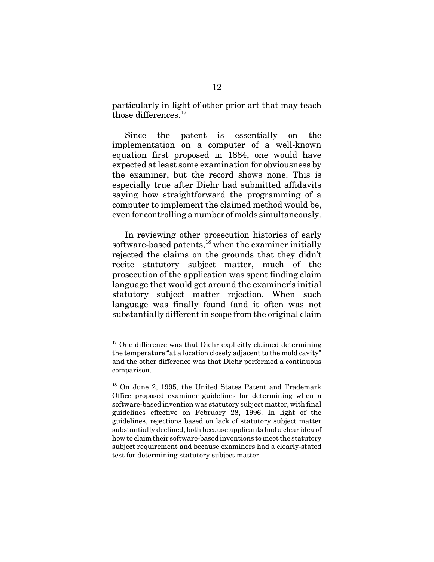particularly in light of other prior art that may teach those differences.<sup>17</sup>

Since the patent is essentially on the implementation on a computer of a well-known equation first proposed in 1884, one would have expected at least some examination for obviousness by the examiner, but the record shows none. This is especially true after Diehr had submitted affidavits saying how straightforward the programming of a computer to implement the claimed method would be, even for controlling a number of molds simultaneously.

In reviewing other prosecution histories of early software-based patents, $^{18}$  when the examiner initially rejected the claims on the grounds that they didn't recite statutory subject matter, much of the prosecution of the application was spent finding claim language that would get around the examiner's initial statutory subject matter rejection. When such language was finally found (and it often was not substantially different in scope from the original claim

 $17$  One difference was that Diehr explicitly claimed determining the temperature "at a location closely adjacent to the mold cavity" and the other difference was that Diehr performed a continuous comparison.

<sup>18</sup> On June 2, 1995, the United States Patent and Trademark Office proposed examiner guidelines for determining when a software-based invention was statutory subject matter, with final guidelines effective on February 28, 1996. In light of the guidelines, rejections based on lack of statutory subject matter substantially declined, both because applicants had a clear idea of how to claim their software-based inventions to meet the statutory subject requirement and because examiners had a clearly-stated test for determining statutory subject matter.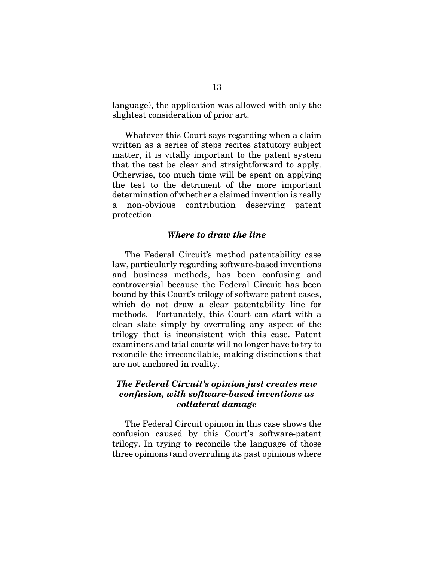language), the application was allowed with only the slightest consideration of prior art.

Whatever this Court says regarding when a claim written as a series of steps recites statutory subject matter, it is vitally important to the patent system that the test be clear and straightforward to apply. Otherwise, too much time will be spent on applying the test to the detriment of the more important determination of whether a claimed invention is really a non-obvious contribution deserving patent protection.

#### *Where to draw the line*

The Federal Circuit's method patentability case law, particularly regarding software-based inventions and business methods, has been confusing and controversial because the Federal Circuit has been bound by this Court's trilogy of software patent cases, which do not draw a clear patentability line for methods. Fortunately, this Court can start with a clean slate simply by overruling any aspect of the trilogy that is inconsistent with this case. Patent examiners and trial courts will no longer have to try to reconcile the irreconcilable, making distinctions that are not anchored in reality.

### *The Federal Circuit's opinion just creates new confusion, with software-based inventions as collateral damage*

The Federal Circuit opinion in this case shows the confusion caused by this Court's software-patent trilogy. In trying to reconcile the language of those three opinions (and overruling its past opinions where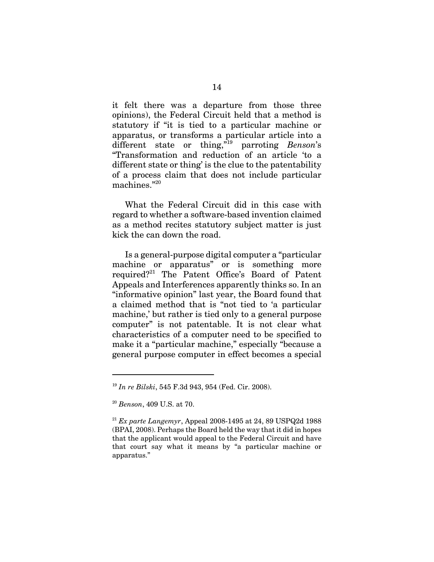it felt there was a departure from those three opinions), the Federal Circuit held that a method is statutory if "it is tied to a particular machine or apparatus, or transforms a particular article into a different state or thing,"19 parroting *Benson*'s "Transformation and reduction of an article 'to a different state or thing' is the clue to the patentability of a process claim that does not include particular machines."20

What the Federal Circuit did in this case with regard to whether a software-based invention claimed as a method recites statutory subject matter is just kick the can down the road.

Is a general-purpose digital computer a "particular machine or apparatus" or is something more required?<sup>21</sup> The Patent Office's Board of Patent Appeals and Interferences apparently thinks so. In an "informative opinion" last year, the Board found that a claimed method that is "not tied to 'a particular machine,' but rather is tied only to a general purpose computer" is not patentable. It is not clear what characteristics of a computer need to be specified to make it a "particular machine," especially "because a general purpose computer in effect becomes a special

<sup>19</sup> *In re Bilski*, 545 F.3d 943, 954 (Fed. Cir. 2008).

<sup>20</sup> *Benson*, 409 U.S. at 70.

<sup>21</sup> *Ex parte Langemyr*, Appeal 2008-1495 at 24, 89 USPQ2d 1988 (BPAI, 2008). Perhaps the Board held the way that it did in hopes that the applicant would appeal to the Federal Circuit and have that court say what it means by "a particular machine or apparatus."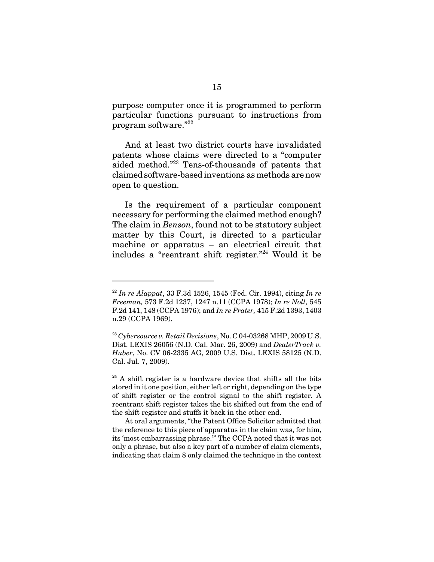purpose computer once it is programmed to perform particular functions pursuant to instructions from program software."22

And at least two district courts have invalidated patents whose claims were directed to a "computer aided method."23 Tens-of-thousands of patents that claimed software-based inventions as methods are now open to question.

Is the requirement of a particular component necessary for performing the claimed method enough? The claim in *Benson*, found not to be statutory subject matter by this Court, is directed to a particular machine or apparatus – an electrical circuit that includes a "reentrant shift register."24 Would it be

<sup>22</sup> *In re Alappat*, 33 F.3d 1526, 1545 (Fed. Cir. 1994), citing *In re Freeman,* 573 F.2d 1237, 1247 n.11 (CCPA 1978); *In re Noll,* 545 F.2d 141, 148 (CCPA 1976); and *In re Prater,* 415 F.2d 1393, 1403 n.29 (CCPA 1969).

<sup>23</sup> *Cybersource v. Retail Decisions*, No. C 04-03268 MHP, 2009 U.S. Dist. LEXIS 26056 (N.D. Cal. Mar. 26, 2009) and *DealerTrack v. Huber*, No. CV 06-2335 AG, 2009 U.S. Dist. LEXIS 58125 (N.D. Cal. Jul. 7, 2009).

 $24$  A shift register is a hardware device that shifts all the bits stored in it one position, either left or right, depending on the type of shift register or the control signal to the shift register. A reentrant shift register takes the bit shifted out from the end of the shift register and stuffs it back in the other end.

At oral arguments, "the Patent Office Solicitor admitted that the reference to this piece of apparatus in the claim was, for him, its 'most embarrassing phrase.'" The CCPA noted that it was not only a phrase, but also a key part of a number of claim elements, indicating that claim 8 only claimed the technique in the context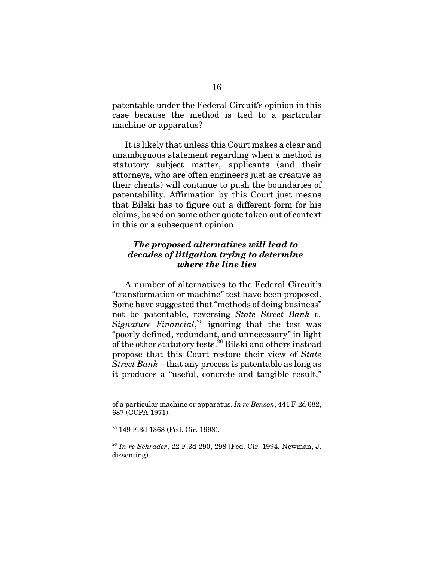patentable under the Federal Circuit's opinion in this case because the method is tied to a particular machine or apparatus?

It is likely that unless this Court makes a clear and unambiguous statement regarding when a method is statutory subject matter, applicants (and their attorneys, who are often engineers just as creative as their clients) will continue to push the boundaries of patentability. Affirmation by this Court just means that Bilski has to figure out a different form for his claims, based on some other quote taken out of context in this or a subsequent opinion.

# *The proposed alternatives will lead to decades of litigation trying to determine where the line lies*

A number of alternatives to the Federal Circuit's "transformation or machine" test have been proposed. Some have suggested that "methods of doing business" not be patentable, reversing *State Street Bank v. Signature Financial*, 25 ignoring that the test was "poorly defined, redundant, and unnecessary" in light of the other statutory tests.26 Bilski and others instead propose that this Court restore their view of *State Street Bank* – that any process is patentable as long as it produces a "useful, concrete and tangible result,"

of a particular machine or apparatus. *In re Benson*, 441 F.2d 682, 687 (CCPA 1971).

<sup>25 149</sup> F.3d 1368 (Fed. Cir. 1998).

<sup>26</sup> *In re Schrader*, 22 F.3d 290, 298 (Fed. Cir. 1994, Newman, J. dissenting).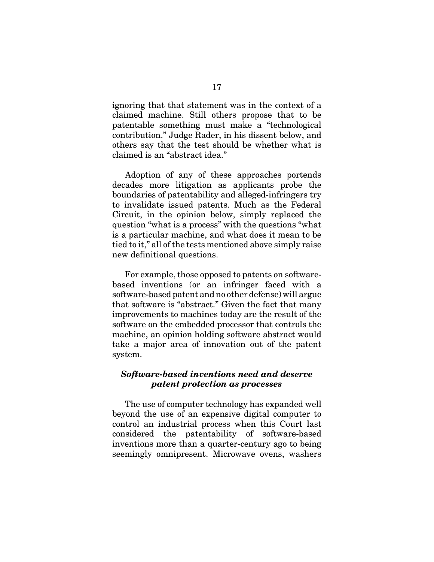ignoring that that statement was in the context of a claimed machine. Still others propose that to be patentable something must make a "technological contribution." Judge Rader, in his dissent below, and others say that the test should be whether what is claimed is an "abstract idea."

Adoption of any of these approaches portends decades more litigation as applicants probe the boundaries of patentability and alleged-infringers try to invalidate issued patents. Much as the Federal Circuit, in the opinion below, simply replaced the question "what is a process" with the questions "what is a particular machine, and what does it mean to be tied to it," all of the tests mentioned above simply raise new definitional questions.

For example, those opposed to patents on softwarebased inventions (or an infringer faced with a software-based patent and no other defense) will argue that software is "abstract." Given the fact that many improvements to machines today are the result of the software on the embedded processor that controls the machine, an opinion holding software abstract would take a major area of innovation out of the patent system.

### *Software-based inventions need and deserve patent protection as processes*

The use of computer technology has expanded well beyond the use of an expensive digital computer to control an industrial process when this Court last considered the patentability of software-based inventions more than a quarter-century ago to being seemingly omnipresent. Microwave ovens, washers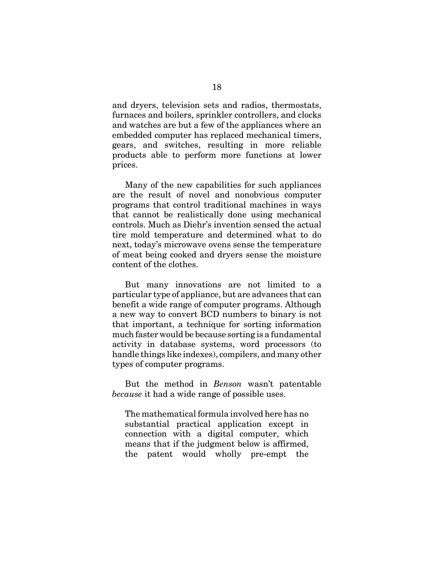and dryers, television sets and radios, thermostats, furnaces and boilers, sprinkler controllers, and clocks and watches are but a few of the appliances where an embedded computer has replaced mechanical timers, gears, and switches, resulting in more reliable products able to perform more functions at lower prices.

Many of the new capabilities for such appliances are the result of novel and nonobvious computer programs that control traditional machines in ways that cannot be realistically done using mechanical controls. Much as Diehr's invention sensed the actual tire mold temperature and determined what to do next, today's microwave ovens sense the temperature of meat being cooked and dryers sense the moisture content of the clothes.

But many innovations are not limited to a particular type of appliance, but are advances that can benefit a wide range of computer programs. Although a new way to convert BCD numbers to binary is not that important, a technique for sorting information much faster would be because sorting is a fundamental activity in database systems, word processors (to handle things like indexes), compilers, and many other types of computer programs.

But the method in *Benson* wasn't patentable *because* it had a wide range of possible uses.

The mathematical formula involved here has no substantial practical application except in connection with a digital computer, which means that if the judgment below is affirmed, the patent would wholly pre-empt the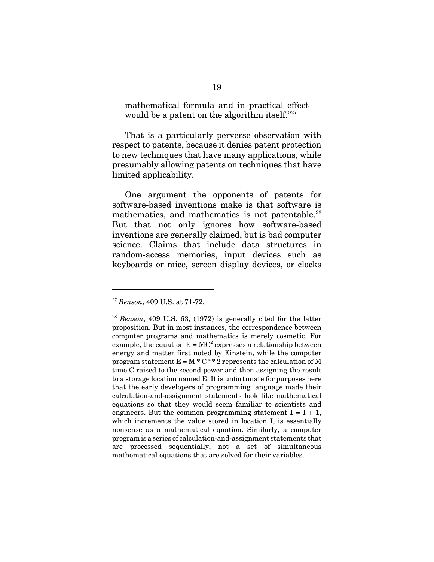mathematical formula and in practical effect would be a patent on the algorithm itself."<sup>27</sup>

That is a particularly perverse observation with respect to patents, because it denies patent protection to new techniques that have many applications, while presumably allowing patents on techniques that have limited applicability.

One argument the opponents of patents for software-based inventions make is that software is mathematics, and mathematics is not patentable. $^{28}$ But that not only ignores how software-based inventions are generally claimed, but is bad computer science. Claims that include data structures in random-access memories, input devices such as keyboards or mice, screen display devices, or clocks

<sup>27</sup> *Benson*, 409 U.S. at 71-72.

<sup>28</sup> *Benson*, 409 U.S. 63, (1972) is generally cited for the latter proposition. But in most instances, the correspondence between computer programs and mathematics is merely cosmetic. For example, the equation  $E = MC^2$  expresses a relationship between energy and matter first noted by Einstein, while the computer program statement  $E = M * C ** 2$  represents the calculation of M time C raised to the second power and then assigning the result to a storage location named E. It is unfortunate for purposes here that the early developers of programming language made their calculation-and-assignment statements look like mathematical equations so that they would seem familiar to scientists and engineers. But the common programming statement  $I = I + 1$ , which increments the value stored in location I, is essentially nonsense as a mathematical equation. Similarly, a computer program is a series of calculation-and-assignment statements that are processed sequentially, not a set of simultaneous mathematical equations that are solved for their variables.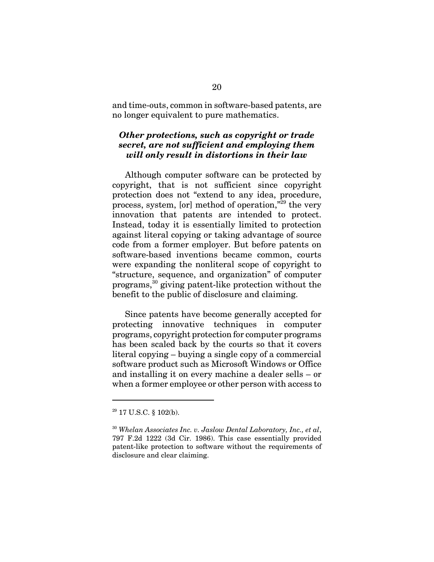and time-outs, common in software-based patents, are no longer equivalent to pure mathematics.

# *Other protections, such as copyright or trade secret, are not sufficient and employing them will only result in distortions in their law*

Although computer software can be protected by copyright, that is not sufficient since copyright protection does not "extend to any idea, procedure, process, system, [or] method of operation, $\bar{r}^{29}$  the very innovation that patents are intended to protect. Instead, today it is essentially limited to protection against literal copying or taking advantage of source code from a former employer. But before patents on software-based inventions became common, courts were expanding the nonliteral scope of copyright to "structure, sequence, and organization" of computer programs,30 giving patent-like protection without the benefit to the public of disclosure and claiming.

Since patents have become generally accepted for protecting innovative techniques in computer programs, copyright protection for computer programs has been scaled back by the courts so that it covers literal copying – buying a single copy of a commercial software product such as Microsoft Windows or Office and installing it on every machine a dealer sells – or when a former employee or other person with access to

<sup>29 17</sup> U.S.C. § 102(b).

<sup>30</sup> *Whelan Associates Inc. v. Jaslow Dental Laboratory, Inc., et al*, 797 F.2d 1222 (3d Cir. 1986). This case essentially provided patent-like protection to software without the requirements of disclosure and clear claiming.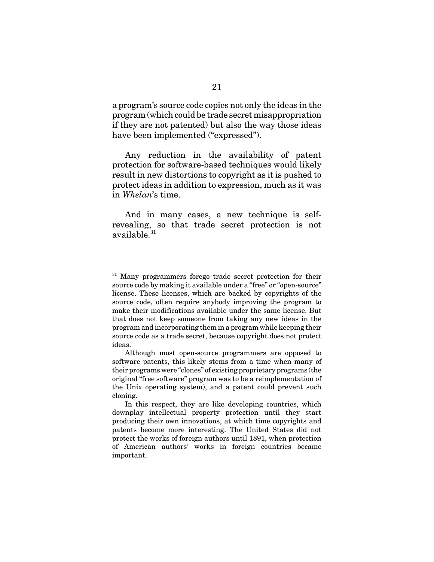a program's source code copies not only the ideas in the program (which could be trade secret misappropriation if they are not patented) but also the way those ideas have been implemented ("expressed").

Any reduction in the availability of patent protection for software-based techniques would likely result in new distortions to copyright as it is pushed to protect ideas in addition to expression, much as it was in *Whelan*'s time.

And in many cases, a new technique is selfrevealing, so that trade secret protection is not available.<sup>31</sup>

<sup>&</sup>lt;sup>31</sup> Many programmers forego trade secret protection for their source code by making it available under a "free" or "open-source" license. These licenses, which are backed by copyrights of the source code, often require anybody improving the program to make their modifications available under the same license. But that does not keep someone from taking any new ideas in the program and incorporating them in a program while keeping their source code as a trade secret, because copyright does not protect ideas.

Although most open-source programmers are opposed to software patents, this likely stems from a time when many of their programs were "clones" of existing proprietary programs (the original "free software" program was to be a reimplementation of the Unix operating system), and a patent could prevent such cloning.

In this respect, they are like developing countries, which downplay intellectual property protection until they start producing their own innovations, at which time copyrights and patents become more interesting. The United States did not protect the works of foreign authors until 1891, when protection of American authors' works in foreign countries became important.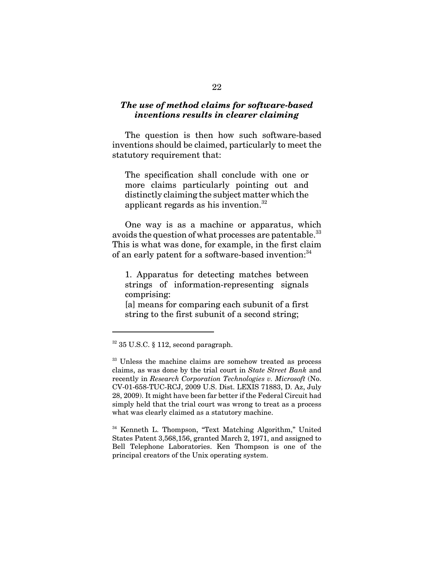### *The use of method claims for software-based inventions results in clearer claiming*

The question is then how such software-based inventions should be claimed, particularly to meet the statutory requirement that:

The specification shall conclude with one or more claims particularly pointing out and distinctly claiming the subject matter which the applicant regards as his invention.32

One way is as a machine or apparatus, which avoids the question of what processes are patentable.<sup>33</sup> This is what was done, for example, in the first claim of an early patent for a software-based invention:<sup>34</sup>

1. Apparatus for detecting matches between strings of information-representing signals comprising:

[a] means for comparing each subunit of a first string to the first subunit of a second string;

 $32$  35 U.S.C. § 112, second paragraph.

<sup>&</sup>lt;sup>33</sup> Unless the machine claims are somehow treated as process claims, as was done by the trial court in *State Street Bank* and recently in *Research Corporation Technologies v. Microsoft* (No. CV-01-658-TUC-RCJ, 2009 U.S. Dist. LEXIS 71883, D. Az, July 28, 2009). It might have been far better if the Federal Circuit had simply held that the trial court was wrong to treat as a process what was clearly claimed as a statutory machine.

<sup>34</sup> Kenneth L. Thompson, "Text Matching Algorithm," United States Patent 3,568,156, granted March 2, 1971, and assigned to Bell Telephone Laboratories. Ken Thompson is one of the principal creators of the Unix operating system.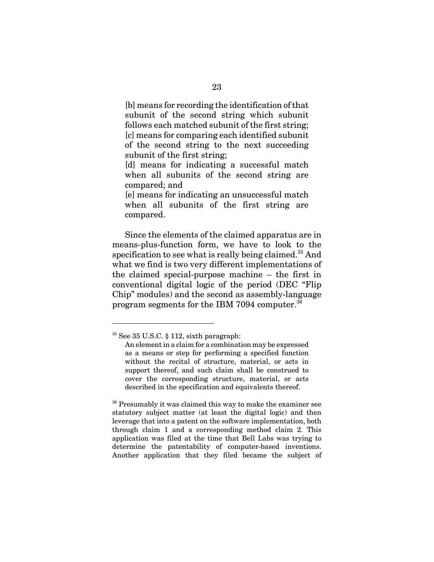[b] means for recording the identification of that subunit of the second string which subunit follows each matched subunit of the first string; [c] means for comparing each identified subunit of the second string to the next succeeding subunit of the first string;

[d] means for indicating a successful match when all subunits of the second string are compared; and

[e] means for indicating an unsuccessful match when all subunits of the first string are compared.

Since the elements of the claimed apparatus are in means-plus-function form, we have to look to the specification to see what is really being claimed.<sup>35</sup> And what we find is two very different implementations of the claimed special-purpose machine – the first in conventional digital logic of the period (DEC "Flip Chip" modules) and the second as assembly-language program segments for the IBM 7094 computer.36

<sup>36</sup> Presumably it was claimed this way to make the examiner see statutory subject matter (at least the digital logic) and then leverage that into a patent on the software implementation, both through claim 1 and a corresponding method claim 2. This application was filed at the time that Bell Labs was trying to determine the patentability of computer-based inventions. Another application that they filed became the subject of

<sup>35</sup> See 35 U.S.C. § 112, sixth paragraph:

An element in a claim for a combination may be expressed as a means or step for performing a specified function without the recital of structure, material, or acts in support thereof, and such claim shall be construed to cover the corresponding structure, material, or acts described in the specification and equivalents thereof.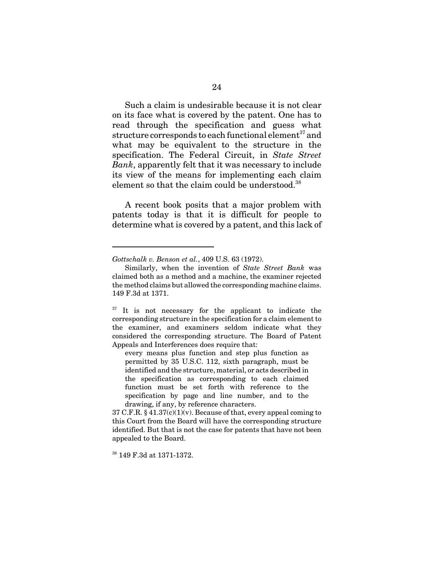Such a claim is undesirable because it is not clear on its face what is covered by the patent. One has to read through the specification and guess what structure corresponds to each functional element<sup>37</sup> and what may be equivalent to the structure in the specification. The Federal Circuit, in *State Street Bank*, apparently felt that it was necessary to include its view of the means for implementing each claim element so that the claim could be understood.<sup>38</sup>

A recent book posits that a major problem with patents today is that it is difficult for people to determine what is covered by a patent, and this lack of

38 149 F.3d at 1371-1372.

*Gottschalk v. Benson et al.*, 409 U.S. 63 (1972).

Similarly, when the invention of *State Street Bank* was claimed both as a method and a machine, the examiner rejected the method claims but allowed the corresponding machine claims. 149 F.3d at 1371.

 $37$  It is not necessary for the applicant to indicate the corresponding structure in the specification for a claim element to the examiner, and examiners seldom indicate what they considered the corresponding structure. The Board of Patent Appeals and Interferences does require that:

every means plus function and step plus function as permitted by 35 U.S.C. 112, sixth paragraph, must be identified and the structure, material, or acts described in the specification as corresponding to each claimed function must be set forth with reference to the specification by page and line number, and to the drawing, if any, by reference characters.

<sup>37</sup> C.F.R.  $§$  41.37(c)(1)(v). Because of that, every appeal coming to this Court from the Board will have the corresponding structure identified. But that is not the case for patents that have not been appealed to the Board.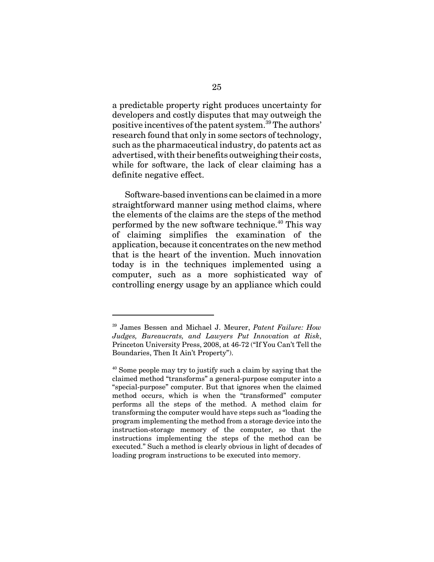a predictable property right produces uncertainty for developers and costly disputes that may outweigh the positive incentives of the patent system.39 The authors' research found that only in some sectors of technology, such as the pharmaceutical industry, do patents act as advertised, with their benefits outweighing their costs, while for software, the lack of clear claiming has a definite negative effect.

Software-based inventions can be claimed in a more straightforward manner using method claims, where the elements of the claims are the steps of the method performed by the new software technique.<sup>40</sup> This way of claiming simplifies the examination of the application, because it concentrates on the new method that is the heart of the invention. Much innovation today is in the techniques implemented using a computer, such as a more sophisticated way of controlling energy usage by an appliance which could

<sup>39</sup> James Bessen and Michael J. Meurer, *Patent Failure: How Judges, Bureaucrats, and Lawyers Put Innovation at Risk*, Princeton University Press, 2008, at 46-72 ("If You Can't Tell the Boundaries, Then It Ain't Property").

<sup>&</sup>lt;sup>40</sup> Some people may try to justify such a claim by saying that the claimed method "transforms" a general-purpose computer into a "special-purpose" computer. But that ignores when the claimed method occurs, which is when the "transformed" computer performs all the steps of the method. A method claim for transforming the computer would have steps such as "loading the program implementing the method from a storage device into the instruction-storage memory of the computer, so that the instructions implementing the steps of the method can be executed." Such a method is clearly obvious in light of decades of loading program instructions to be executed into memory.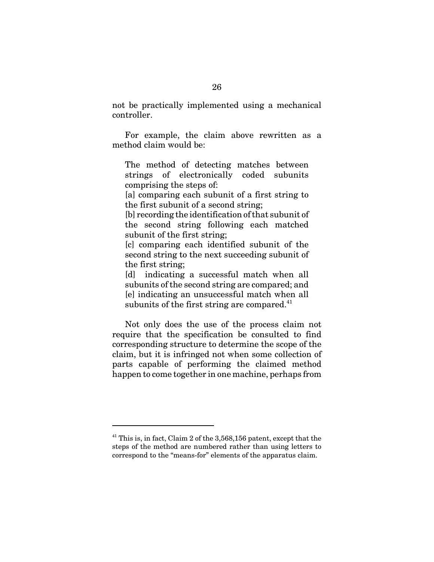not be practically implemented using a mechanical controller.

For example, the claim above rewritten as a method claim would be:

The method of detecting matches between strings of electronically coded subunits comprising the steps of:

[a] comparing each subunit of a first string to the first subunit of a second string;

[b] recording the identification of that subunit of the second string following each matched subunit of the first string;

[c] comparing each identified subunit of the second string to the next succeeding subunit of the first string;

[d] indicating a successful match when all subunits of the second string are compared; and [e] indicating an unsuccessful match when all subunits of the first string are compared.<sup>41</sup>

Not only does the use of the process claim not require that the specification be consulted to find corresponding structure to determine the scope of the claim, but it is infringed not when some collection of parts capable of performing the claimed method happen to come together in one machine, perhaps from

 $41$  This is, in fact, Claim 2 of the 3,568,156 patent, except that the steps of the method are numbered rather than using letters to correspond to the "means-for" elements of the apparatus claim.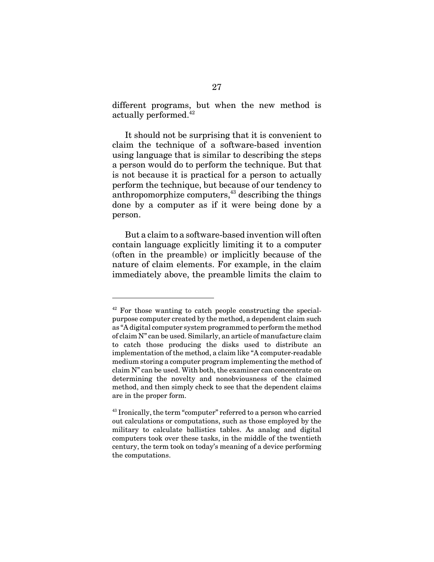different programs, but when the new method is actually performed.<sup>42</sup>

It should not be surprising that it is convenient to claim the technique of a software-based invention using language that is similar to describing the steps a person would do to perform the technique. But that is not because it is practical for a person to actually perform the technique, but because of our tendency to anthropomorphize computers, $43$  describing the things done by a computer as if it were being done by a person.

But a claim to a software-based invention will often contain language explicitly limiting it to a computer (often in the preamble) or implicitly because of the nature of claim elements. For example, in the claim immediately above, the preamble limits the claim to

 $42$  For those wanting to catch people constructing the specialpurpose computer created by the method, a dependent claim such as "A digital computer system programmed to perform the method of claim N" can be used. Similarly, an article of manufacture claim to catch those producing the disks used to distribute an implementation of the method, a claim like "A computer-readable medium storing a computer program implementing the method of claim N" can be used. With both, the examiner can concentrate on determining the novelty and nonobviousness of the claimed method, and then simply check to see that the dependent claims are in the proper form.

 $43$  Ironically, the term "computer" referred to a person who carried out calculations or computations, such as those employed by the military to calculate ballistics tables. As analog and digital computers took over these tasks, in the middle of the twentieth century, the term took on today's meaning of a device performing the computations.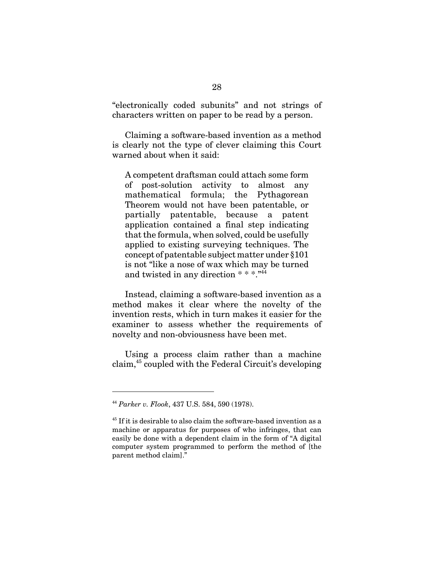"electronically coded subunits" and not strings of characters written on paper to be read by a person.

Claiming a software-based invention as a method is clearly not the type of clever claiming this Court warned about when it said:

A competent draftsman could attach some form of post-solution activity to almost any mathematical formula; the Pythagorean Theorem would not have been patentable, or partially patentable, because a patent application contained a final step indicating that the formula, when solved, could be usefully applied to existing surveying techniques. The concept of patentable subject matter under §101 is not "like a nose of wax which may be turned and twisted in any direction  $***$ .<sup>44</sup>

Instead, claiming a software-based invention as a method makes it clear where the novelty of the invention rests, which in turn makes it easier for the examiner to assess whether the requirements of novelty and non-obviousness have been met.

Using a process claim rather than a machine claim,45 coupled with the Federal Circuit's developing

<sup>44</sup> *Parker v. Flook*, 437 U.S. 584, 590 (1978).

<sup>&</sup>lt;sup>45</sup> If it is desirable to also claim the software-based invention as a machine or apparatus for purposes of who infringes, that can easily be done with a dependent claim in the form of "A digital computer system programmed to perform the method of [the parent method claim]."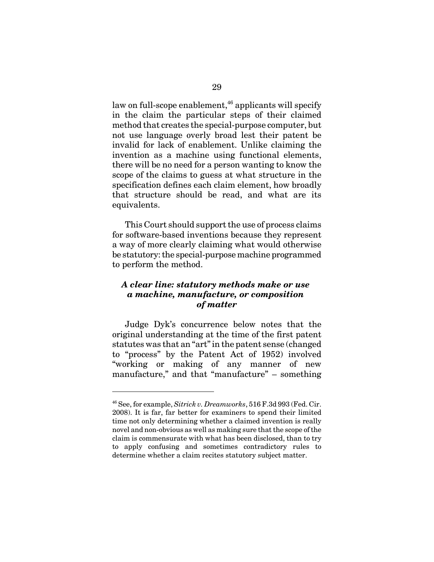law on full-scope enablement, $46$  applicants will specify in the claim the particular steps of their claimed method that creates the special-purpose computer, but not use language overly broad lest their patent be invalid for lack of enablement. Unlike claiming the invention as a machine using functional elements, there will be no need for a person wanting to know the scope of the claims to guess at what structure in the specification defines each claim element, how broadly that structure should be read, and what are its equivalents.

This Court should support the use of process claims for software-based inventions because they represent a way of more clearly claiming what would otherwise be statutory: the special-purpose machine programmed to perform the method.

## *A clear line: statutory methods make or use a machine, manufacture, or composition of matter*

Judge Dyk's concurrence below notes that the original understanding at the time of the first patent statutes was that an "art" in the patent sense (changed to "process" by the Patent Act of 1952) involved "working or making of any manner of new manufacture," and that "manufacture" – something

<sup>46</sup> See, for example, *Sitrick v. Dreamworks*, 516 F.3d 993 (Fed. Cir. 2008). It is far, far better for examiners to spend their limited time not only determining whether a claimed invention is really novel and non-obvious as well as making sure that the scope of the claim is commensurate with what has been disclosed, than to try to apply confusing and sometimes contradictory rules to determine whether a claim recites statutory subject matter.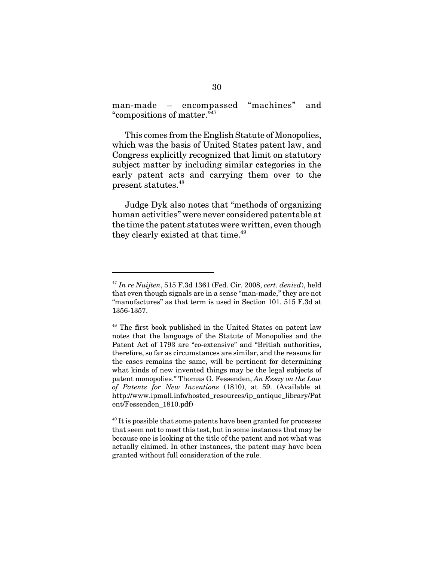man-made – encompassed "machines" and "compositions of matter."47

This comes from the English Statute of Monopolies, which was the basis of United States patent law, and Congress explicitly recognized that limit on statutory subject matter by including similar categories in the early patent acts and carrying them over to the present statutes.<sup>48</sup>

Judge Dyk also notes that "methods of organizing human activities" were never considered patentable at the time the patent statutes were written, even though they clearly existed at that time.<sup>49</sup>

<sup>47</sup> *In re Nuijten*, 515 F.3d 1361 (Fed. Cir. 2008, *cert. denied*), held that even though signals are in a sense "man-made," they are not "manufactures" as that term is used in Section 101. 515 F.3d at 1356-1357.

<sup>&</sup>lt;sup>48</sup> The first book published in the United States on patent law notes that the language of the Statute of Monopolies and the Patent Act of 1793 are "co-extensive" and "British authorities, therefore, so far as circumstances are similar, and the reasons for the cases remains the same, will be pertinent for determining what kinds of new invented things may be the legal subjects of patent monopolies." Thomas G. Fessenden, *An Essay on the Law of Patents for New Inventions* (1810), at 59. (Available at http://www.ipmall.info/hosted\_resources/ip\_antique\_library/Pat ent/Fessenden\_1810.pdf)

 $49$  It is possible that some patents have been granted for processes that seem not to meet this test, but in some instances that may be because one is looking at the title of the patent and not what was actually claimed. In other instances, the patent may have been granted without full consideration of the rule.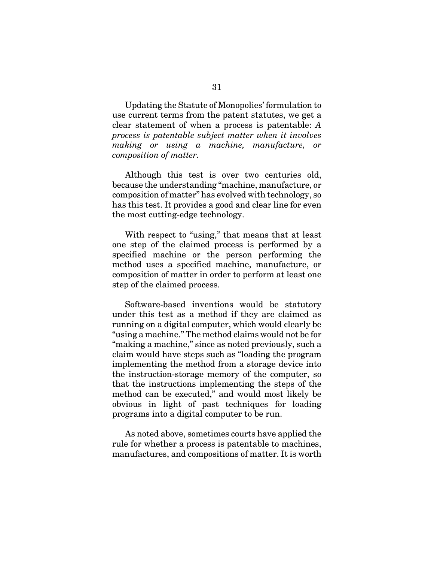Updating the Statute of Monopolies' formulation to use current terms from the patent statutes, we get a clear statement of when a process is patentable: *A process is patentable subject matter when it involves making or using a machine, manufacture, or composition of matter.*

Although this test is over two centuries old, because the understanding "machine, manufacture, or composition of matter" has evolved with technology, so has this test. It provides a good and clear line for even the most cutting-edge technology.

With respect to "using," that means that at least one step of the claimed process is performed by a specified machine or the person performing the method uses a specified machine, manufacture, or composition of matter in order to perform at least one step of the claimed process.

Software-based inventions would be statutory under this test as a method if they are claimed as running on a digital computer, which would clearly be "using a machine." The method claims would not be for "making a machine," since as noted previously, such a claim would have steps such as "loading the program implementing the method from a storage device into the instruction-storage memory of the computer, so that the instructions implementing the steps of the method can be executed," and would most likely be obvious in light of past techniques for loading programs into a digital computer to be run.

As noted above, sometimes courts have applied the rule for whether a process is patentable to machines, manufactures, and compositions of matter. It is worth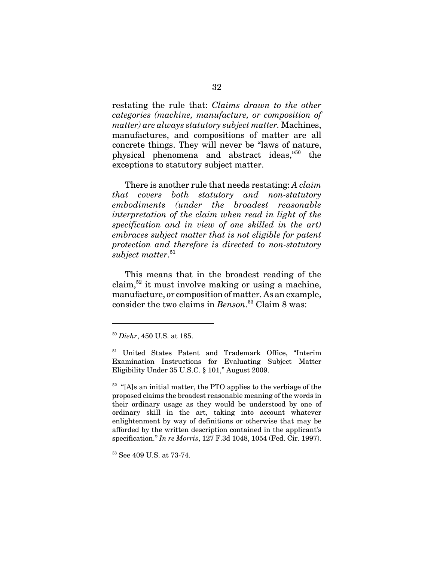restating the rule that: *Claims drawn to the other categories (machine, manufacture, or composition of matter) are always statutory subject matter.* Machines, manufactures, and compositions of matter are all concrete things. They will never be "laws of nature, physical phenomena and abstract ideas,"50 the exceptions to statutory subject matter.

There is another rule that needs restating: *A claim that covers both statutory and non-statutory embodiments (under the broadest reasonable interpretation of the claim when read in light of the specification and in view of one skilled in the art) embraces subject matter that is not eligible for patent protection and therefore is directed to non-statutory subject matter*. 51

This means that in the broadest reading of the claim, $52$  it must involve making or using a machine, manufacture, or composition of matter. As an example, consider the two claims in *Benson*. 53 Claim 8 was:

 $52$  "[A]s an initial matter, the PTO applies to the verbiage of the proposed claims the broadest reasonable meaning of the words in their ordinary usage as they would be understood by one of ordinary skill in the art, taking into account whatever enlightenment by way of definitions or otherwise that may be afforded by the written description contained in the applicant's specification." *In re Morris*, 127 F.3d 1048, 1054 (Fed. Cir. 1997).

<sup>50</sup> *Diehr*, 450 U.S. at 185.

<sup>51</sup> United States Patent and Trademark Office, "Interim Examination Instructions for Evaluating Subject Matter Eligibility Under 35 U.S.C. § 101," August 2009.

<sup>53</sup> See 409 U.S. at 73-74.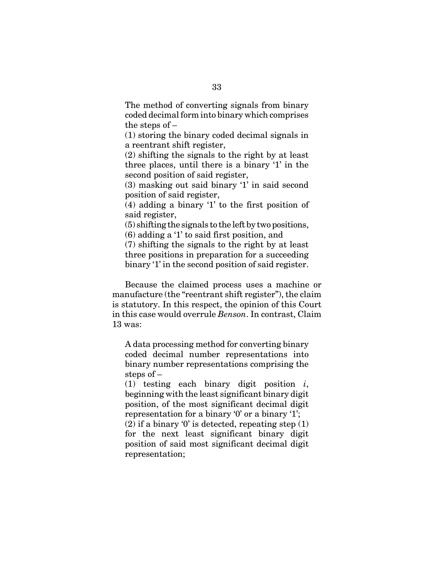The method of converting signals from binary coded decimal form into binary which comprises the steps of –

(1) storing the binary coded decimal signals in a reentrant shift register,

(2) shifting the signals to the right by at least three places, until there is a binary '1' in the second position of said register,

(3) masking out said binary '1' in said second position of said register,

(4) adding a binary '1' to the first position of said register,

(5) shifting the signals to the left by two positions,

(6) adding a '1' to said first position, and

(7) shifting the signals to the right by at least three positions in preparation for a succeeding binary '1' in the second position of said register.

Because the claimed process uses a machine or manufacture (the "reentrant shift register"), the claim is statutory. In this respect, the opinion of this Court in this case would overrule *Benson*. In contrast, Claim 13 was:

A data processing method for converting binary coded decimal number representations into binary number representations comprising the steps of –

(1) testing each binary digit position *i*, beginning with the least significant binary digit position, of the most significant decimal digit representation for a binary '0' or a binary '1';

 $(2)$  if a binary '0' is detected, repeating step  $(1)$ for the next least significant binary digit position of said most significant decimal digit representation;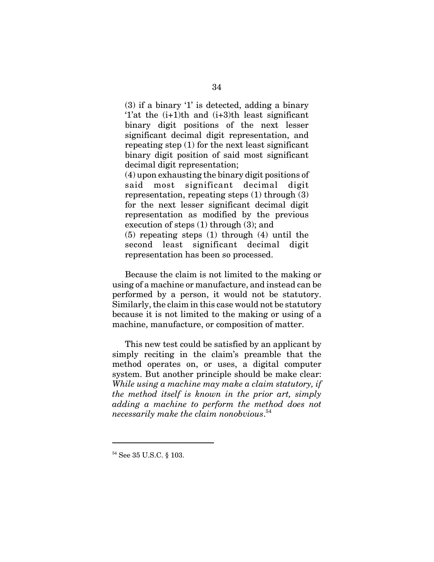(3) if a binary '1' is detected, adding a binary '1'at the (i+1)th and (i+3)th least significant binary digit positions of the next lesser significant decimal digit representation, and repeating step (1) for the next least significant binary digit position of said most significant decimal digit representation;

(4) upon exhausting the binary digit positions of said most significant decimal digit representation, repeating steps (1) through (3) for the next lesser significant decimal digit representation as modified by the previous execution of steps (1) through (3); and (5) repeating steps (1) through (4) until the second least significant decimal digit representation has been so processed.

Because the claim is not limited to the making or using of a machine or manufacture, and instead can be performed by a person, it would not be statutory. Similarly, the claim in this case would not be statutory because it is not limited to the making or using of a machine, manufacture, or composition of matter.

This new test could be satisfied by an applicant by simply reciting in the claim's preamble that the method operates on, or uses, a digital computer system. But another principle should be make clear: *While using a machine may make a claim statutory, if the method itself is known in the prior art, simply adding a machine to perform the method does not necessarily make the claim nonobvious*. 54

<sup>54</sup> See 35 U.S.C. § 103.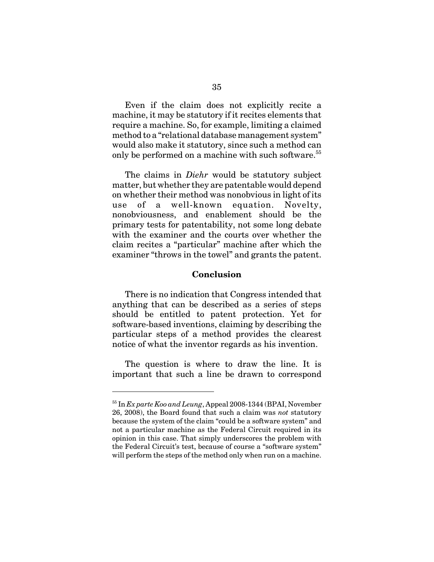Even if the claim does not explicitly recite a machine, it may be statutory if it recites elements that require a machine. So, for example, limiting a claimed method to a "relational database management system" would also make it statutory, since such a method can only be performed on a machine with such software.<sup>55</sup>

The claims in *Diehr* would be statutory subject matter, but whether they are patentable would depend on whether their method was nonobvious in light of its use of a well-known equation. Novelty, nonobviousness, and enablement should be the primary tests for patentability, not some long debate with the examiner and the courts over whether the claim recites a "particular" machine after which the examiner "throws in the towel" and grants the patent.

#### **Conclusion**

There is no indication that Congress intended that anything that can be described as a series of steps should be entitled to patent protection. Yet for software-based inventions, claiming by describing the particular steps of a method provides the clearest notice of what the inventor regards as his invention.

The question is where to draw the line. It is important that such a line be drawn to correspond

<sup>55</sup> In *Ex parte Koo and Leung*, Appeal 2008-1344 (BPAI, November 26, 2008), the Board found that such a claim was *not* statutory because the system of the claim "could be a software system" and not a particular machine as the Federal Circuit required in its opinion in this case. That simply underscores the problem with the Federal Circuit's test, because of course a "software system" will perform the steps of the method only when run on a machine.